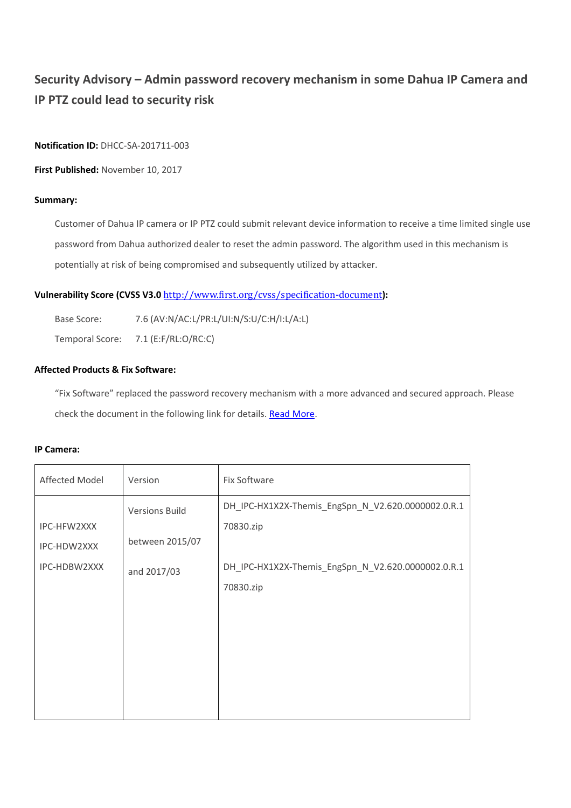# **Security Advisory – Admin password recovery mechanism in some Dahua IP Camera and IP PTZ could lead to security risk**

**Notification ID:** DHCC-SA-201711-003

**First Published:** November 10, 2017

## **Summary:**

Customer of Dahua IP camera or IP PTZ could submit relevant device information to receive a time limited single use password from Dahua authorized dealer to reset the admin password. The algorithm used in this mechanism is potentially at risk of being compromised and subsequently utilized by attacker.

## **Vulnerability Score (CVSS V3.0** <http://www.first.org/cvss/specification-document>**):**

Base Score: 7.6 (AV:N/AC:L/PR:L/UI:N/S:U/C:H/I:L/A:L)

Temporal Score: 7.1 (E:F/RL:O/RC:C)

### **Affected Products & Fix Software:**

"Fix Software" replaced the password recovery mechanism with a more advanced and secured approach. Please check the document in the following link for details. [Read More.](http://dahuasecurity.com/en/us/uploads/Initialization_and_password_reset_for_networking_cameras_V1_EN_20171109.pdf)

#### **IP Camera:**

| Affected Model             | Version                                  | Fix Software                                                    |
|----------------------------|------------------------------------------|-----------------------------------------------------------------|
| IPC-HFW2XXX<br>IPC-HDW2XXX | <b>Versions Build</b><br>between 2015/07 | DH_IPC-HX1X2X-Themis_EngSpn_N_V2.620.0000002.0.R.1<br>70830.zip |
| IPC-HDBW2XXX               | and 2017/03                              | DH_IPC-HX1X2X-Themis_EngSpn_N_V2.620.0000002.0.R.1<br>70830.zip |
|                            |                                          |                                                                 |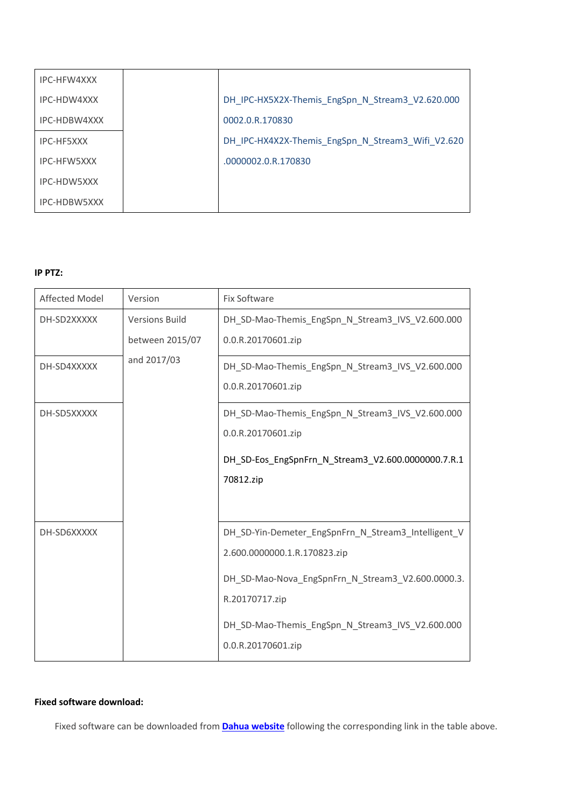| IPC-HFW4XXX        |                                                   |
|--------------------|---------------------------------------------------|
| IPC-HDW4XXX        | DH_IPC-HX5X2X-Themis_EngSpn_N_Stream3_V2.620.000  |
| IPC-HDBW4XXX       | 0002.0.R.170830                                   |
| IPC-HF5XXX         | DH_IPC-HX4X2X-Themis_EngSpn_N_Stream3_Wifi_V2.620 |
| <b>IPC-HFW5XXX</b> | .0000002.0.R.170830                               |
| IPC-HDW5XXX        |                                                   |
| IPC-HDBW5XXX       |                                                   |

## **IP PTZ:**

| Affected Model | Version                                  | Fix Software                                                           |
|----------------|------------------------------------------|------------------------------------------------------------------------|
| DH-SD2XXXXX    | <b>Versions Build</b><br>between 2015/07 | DH_SD-Mao-Themis_EngSpn_N_Stream3_IVS_V2.600.000<br>0.0.R.20170601.zip |
|                |                                          |                                                                        |
| DH-SD4XXXXX    | and 2017/03                              | DH_SD-Mao-Themis_EngSpn_N_Stream3_IVS_V2.600.000                       |
|                |                                          | 0.0.R.20170601.zip                                                     |
| DH-SD5XXXXX    |                                          | DH_SD-Mao-Themis_EngSpn_N_Stream3_IVS_V2.600.000                       |
|                |                                          | 0.0.R.20170601.zip                                                     |
|                |                                          | DH_SD-Eos_EngSpnFrn_N_Stream3_V2.600.0000000.7.R.1                     |
|                |                                          | 70812.zip                                                              |
|                |                                          |                                                                        |
| DH-SD6XXXXX    |                                          | DH_SD-Yin-Demeter_EngSpnFrn_N_Stream3_Intelligent_V                    |
|                |                                          | 2.600.0000000.1.R.170823.zip                                           |
|                |                                          | DH SD-Mao-Nova EngSpnFrn N Stream3 V2.600.0000.3.                      |
|                |                                          | R.20170717.zip                                                         |
|                |                                          | DH_SD-Mao-Themis_EngSpn_N_Stream3_IVS_V2.600.000                       |
|                |                                          | 0.0.R.20170601.zip                                                     |

## **Fixed software download:**

Fixed software can be downloaded from **Dahua [website](http://dahuawiki.com/Firmware_Search_Tool)** following the corresponding link in the table above.